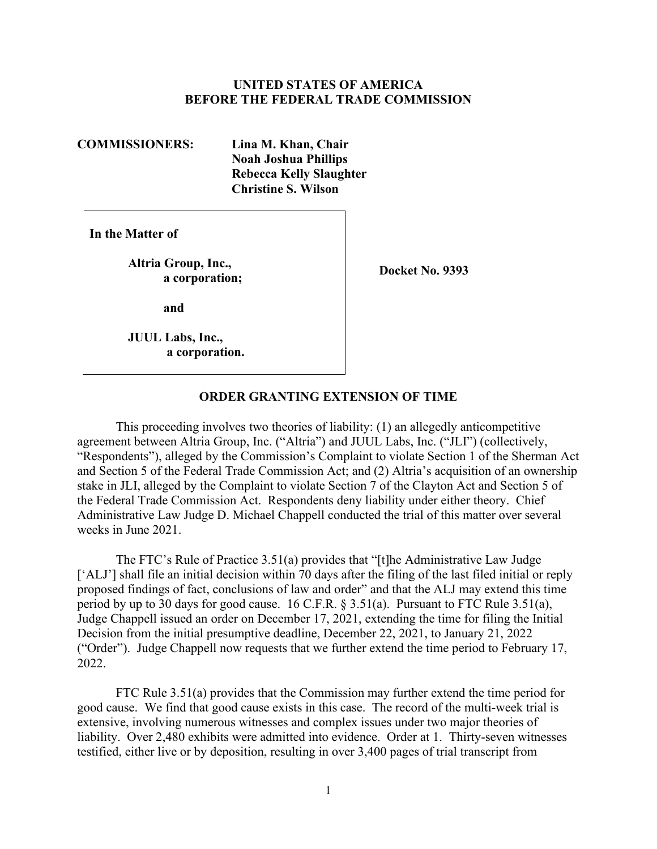## **UNITED STATES OF AMERICA BEFORE THE FEDERAL TRADE COMMISSION**

**COMMISSIONERS: Lina M. Khan, Chair Noah Joshua Phillips Rebecca Kelly Slaughter Christine S. Wilson** 

**In the Matter of** 

Altria Group, Inc.,<br>
a corporation;<br>
a corporation;

**and** 

**JUUL Labs, Inc., a corporation.** 

## **ORDER GRANTING EXTENSION OF TIME**

 the Federal Trade Commission Act. Respondents deny liability under either theory. Chief This proceeding involves two theories of liability: (1) an allegedly anticompetitive agreement between Altria Group, Inc. ("Altria") and JUUL Labs, Inc. ("JLI") (collectively, "Respondents"), alleged by the Commission's Complaint to violate Section 1 of the Sherman Act and Section 5 of the Federal Trade Commission Act; and (2) Altria's acquisition of an ownership stake in JLI, alleged by the Complaint to violate Section 7 of the Clayton Act and Section 5 of Administrative Law Judge D. Michael Chappell conducted the trial of this matter over several weeks in June 2021.

 ("Order"). Judge Chappell now requests that we further extend the time period to February 17, The FTC's Rule of Practice 3.51(a) provides that "[t]he Administrative Law Judge ['ALJ'] shall file an initial decision within 70 days after the filing of the last filed initial or reply proposed findings of fact, conclusions of law and order" and that the ALJ may extend this time period by up to 30 days for good cause. 16 C.F.R. § 3.51(a). Pursuant to FTC Rule 3.51(a), Judge Chappell issued an order on December 17, 2021, extending the time for filing the Initial Decision from the initial presumptive deadline, December 22, 2021, to January 21, 2022 2022.

 good cause. We find that good cause exists in this case. The record of the multi-week trial is liability. Over 2,480 exhibits were admitted into evidence. Order at 1. Thirty-seven witnesses FTC Rule 3.51(a) provides that the Commission may further extend the time period for extensive, involving numerous witnesses and complex issues under two major theories of testified, either live or by deposition, resulting in over 3,400 pages of trial transcript from